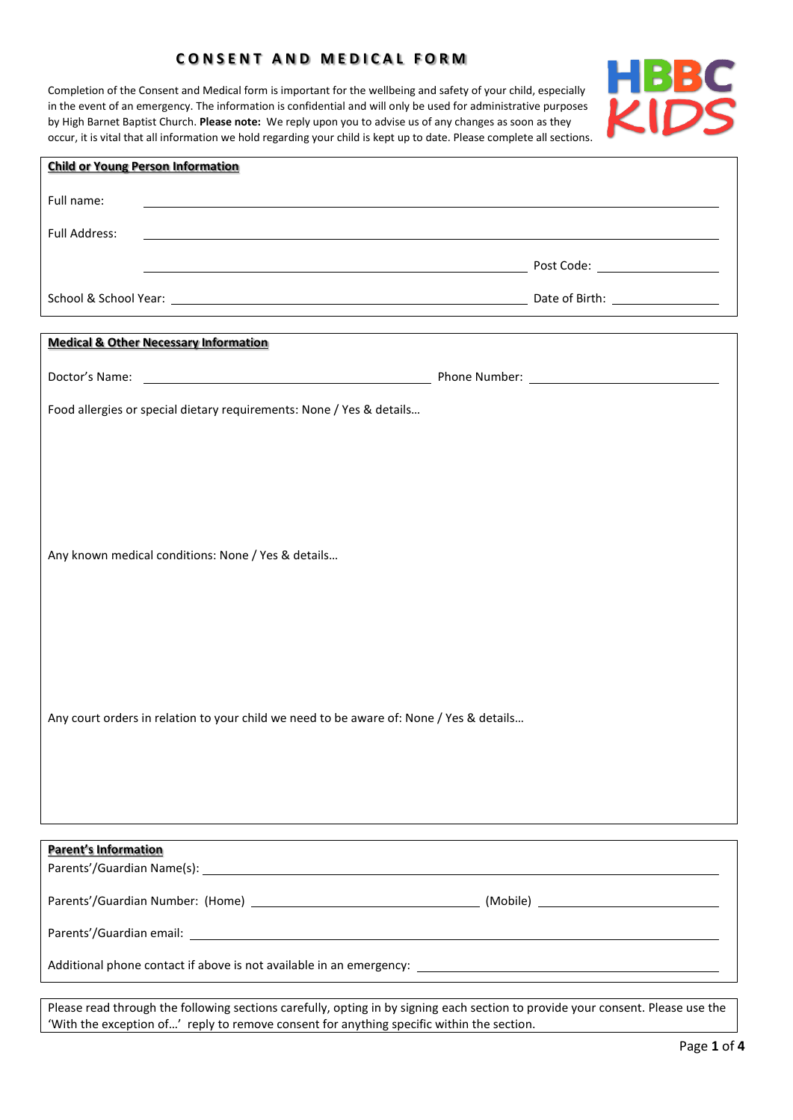# **C O N S E N T A N D M E D I C A L F O R M**

Completion of the Consent and Medical form is important for the wellbeing and safety of your child, especially in the event of an emergency. The information is confidential and will only be used for administrative purposes by High Barnet Baptist Church. **Please note:** We reply upon you to advise us of any changes as soon as they occur, it is vital that all information we hold regarding your child is kept up to date. Please complete all sections.



| Full name:<br><b>Full Address:</b><br>,我们也不会有什么。""我们的人,我们也不会有什么?""我们的人,我们也不会有什么?""我们的人,我们也不会有什么?""我们的人,我们也不会有什么?""我们的人<br>example and the second contract of the second contract of the second post Code: when the second contract of the<br><b>Medical &amp; Other Necessary Information</b><br>Food allergies or special dietary requirements: None / Yes & details<br>Any known medical conditions: None / Yes & details<br>Any court orders in relation to your child we need to be aware of: None / Yes & details<br><b>Parent's Information</b> | <b>Child or Young Person Information</b> |  |  |
|-------------------------------------------------------------------------------------------------------------------------------------------------------------------------------------------------------------------------------------------------------------------------------------------------------------------------------------------------------------------------------------------------------------------------------------------------------------------------------------------------------------------------------------------------------|------------------------------------------|--|--|
|                                                                                                                                                                                                                                                                                                                                                                                                                                                                                                                                                       |                                          |  |  |
|                                                                                                                                                                                                                                                                                                                                                                                                                                                                                                                                                       |                                          |  |  |
|                                                                                                                                                                                                                                                                                                                                                                                                                                                                                                                                                       |                                          |  |  |
|                                                                                                                                                                                                                                                                                                                                                                                                                                                                                                                                                       |                                          |  |  |
|                                                                                                                                                                                                                                                                                                                                                                                                                                                                                                                                                       |                                          |  |  |
|                                                                                                                                                                                                                                                                                                                                                                                                                                                                                                                                                       |                                          |  |  |
|                                                                                                                                                                                                                                                                                                                                                                                                                                                                                                                                                       |                                          |  |  |
|                                                                                                                                                                                                                                                                                                                                                                                                                                                                                                                                                       |                                          |  |  |
|                                                                                                                                                                                                                                                                                                                                                                                                                                                                                                                                                       |                                          |  |  |
|                                                                                                                                                                                                                                                                                                                                                                                                                                                                                                                                                       |                                          |  |  |
|                                                                                                                                                                                                                                                                                                                                                                                                                                                                                                                                                       |                                          |  |  |
|                                                                                                                                                                                                                                                                                                                                                                                                                                                                                                                                                       |                                          |  |  |
|                                                                                                                                                                                                                                                                                                                                                                                                                                                                                                                                                       |                                          |  |  |
|                                                                                                                                                                                                                                                                                                                                                                                                                                                                                                                                                       |                                          |  |  |
|                                                                                                                                                                                                                                                                                                                                                                                                                                                                                                                                                       |                                          |  |  |
|                                                                                                                                                                                                                                                                                                                                                                                                                                                                                                                                                       |                                          |  |  |
|                                                                                                                                                                                                                                                                                                                                                                                                                                                                                                                                                       |                                          |  |  |
|                                                                                                                                                                                                                                                                                                                                                                                                                                                                                                                                                       |                                          |  |  |
|                                                                                                                                                                                                                                                                                                                                                                                                                                                                                                                                                       |                                          |  |  |
|                                                                                                                                                                                                                                                                                                                                                                                                                                                                                                                                                       |                                          |  |  |
|                                                                                                                                                                                                                                                                                                                                                                                                                                                                                                                                                       |                                          |  |  |
|                                                                                                                                                                                                                                                                                                                                                                                                                                                                                                                                                       |                                          |  |  |
|                                                                                                                                                                                                                                                                                                                                                                                                                                                                                                                                                       |                                          |  |  |
|                                                                                                                                                                                                                                                                                                                                                                                                                                                                                                                                                       |                                          |  |  |
|                                                                                                                                                                                                                                                                                                                                                                                                                                                                                                                                                       |                                          |  |  |
|                                                                                                                                                                                                                                                                                                                                                                                                                                                                                                                                                       |                                          |  |  |
|                                                                                                                                                                                                                                                                                                                                                                                                                                                                                                                                                       |                                          |  |  |
|                                                                                                                                                                                                                                                                                                                                                                                                                                                                                                                                                       |                                          |  |  |
|                                                                                                                                                                                                                                                                                                                                                                                                                                                                                                                                                       |                                          |  |  |

Please read through the following sections carefully, opting in by signing each section to provide your consent. Please use the 'With the exception of…' reply to remove consent for anything specific within the section.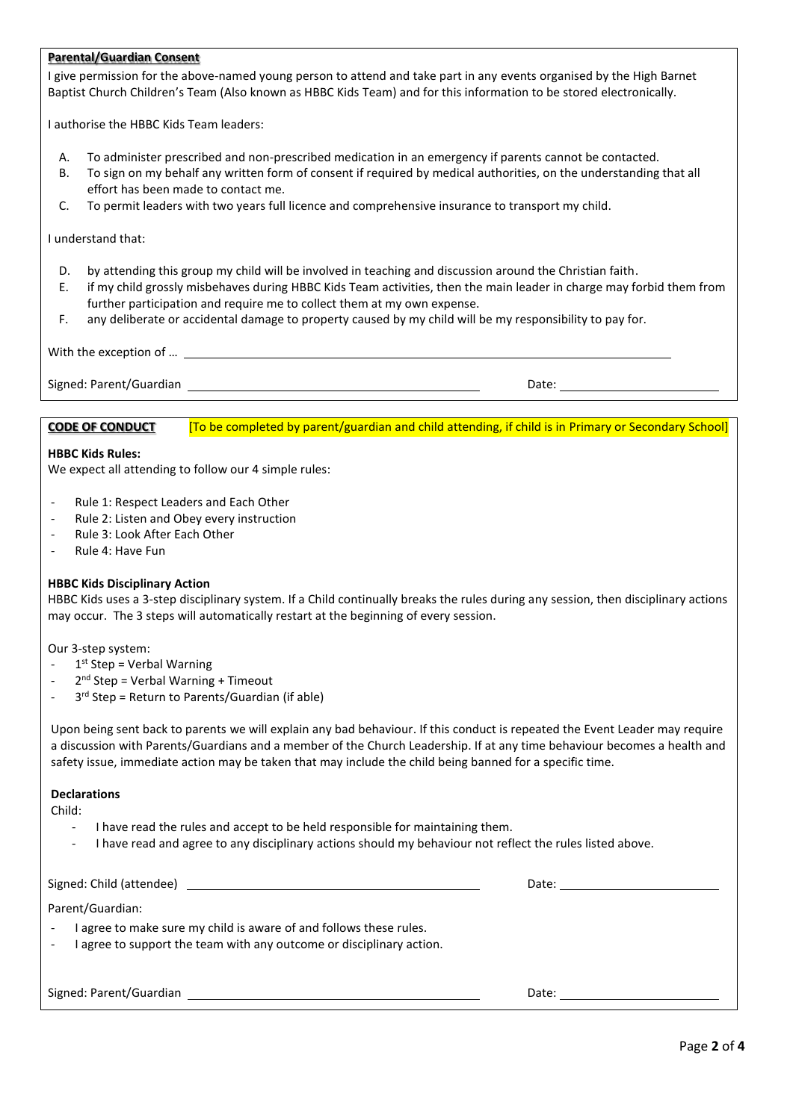# **Parental/Guardian Consent**

I give permission for the above-named young person to attend and take part in any events organised by the High Barnet Baptist Church Children's Team (Also known as HBBC Kids Team) and for this information to be stored electronically.

I authorise the HBBC Kids Team leaders:

- A. To administer prescribed and non-prescribed medication in an emergency if parents cannot be contacted.
- B. To sign on my behalf any written form of consent if required by medical authorities, on the understanding that all effort has been made to contact me.
- C. To permit leaders with two years full licence and comprehensive insurance to transport my child.

### I understand that:

- D. by attending this group my child will be involved in teaching and discussion around the Christian faith.
- E. if my child grossly misbehaves during HBBC Kids Team activities, then the main leader in charge may forbid them from further participation and require me to collect them at my own expense.
- F. any deliberate or accidental damage to property caused by my child will be my responsibility to pay for.

| With the exception of   |       |
|-------------------------|-------|
| Signed: Parent/Guardian |       |
|                         | Date: |

**CODE OF CONDUCT** [To be completed by parent/guardian and child attending, if child is in Primary or Secondary School]

## **HBBC Kids Rules:**

We expect all attending to follow our 4 simple rules:

- Rule 1: Respect Leaders and Each Other
- Rule 2: Listen and Obey every instruction
- Rule 3: Look After Each Other
- Rule 4: Have Fun

# **HBBC Kids Disciplinary Action**

HBBC Kids uses a 3-step disciplinary system. If a Child continually breaks the rules during any session, then disciplinary actions may occur. The 3 steps will automatically restart at the beginning of every session.

Our 3-step system:

- 1<sup>st</sup> Step = Verbal Warning
- 2<sup>nd</sup> Step = Verbal Warning + Timeout
- 3<sup>rd</sup> Step = Return to Parents/Guardian (if able)

Upon being sent back to parents we will explain any bad behaviour. If this conduct is repeated the Event Leader may require a discussion with Parents/Guardians and a member of the Church Leadership. If at any time behaviour becomes a health and safety issue, immediate action may be taken that may include the child being banned for a specific time.

### **Declarations**

Child:

- I have read the rules and accept to be held responsible for maintaining them.
- I have read and agree to any disciplinary actions should my behaviour not reflect the rules listed above.

Signed: Child (attendee) Date: Parent/Guardian:

- I agree to make sure my child is aware of and follows these rules.
- I agree to support the team with any outcome or disciplinary action.

Signed: Parent/Guardian Date: Date: Date: Date: Date: Date: Date: Date: Date: Date: Date: Date: Date: Date: Date: Date: Date: Date: Date: Date: Date: Date: Date: Date: Date: Date: Date: Date: Date: Date: Date: Date: Date: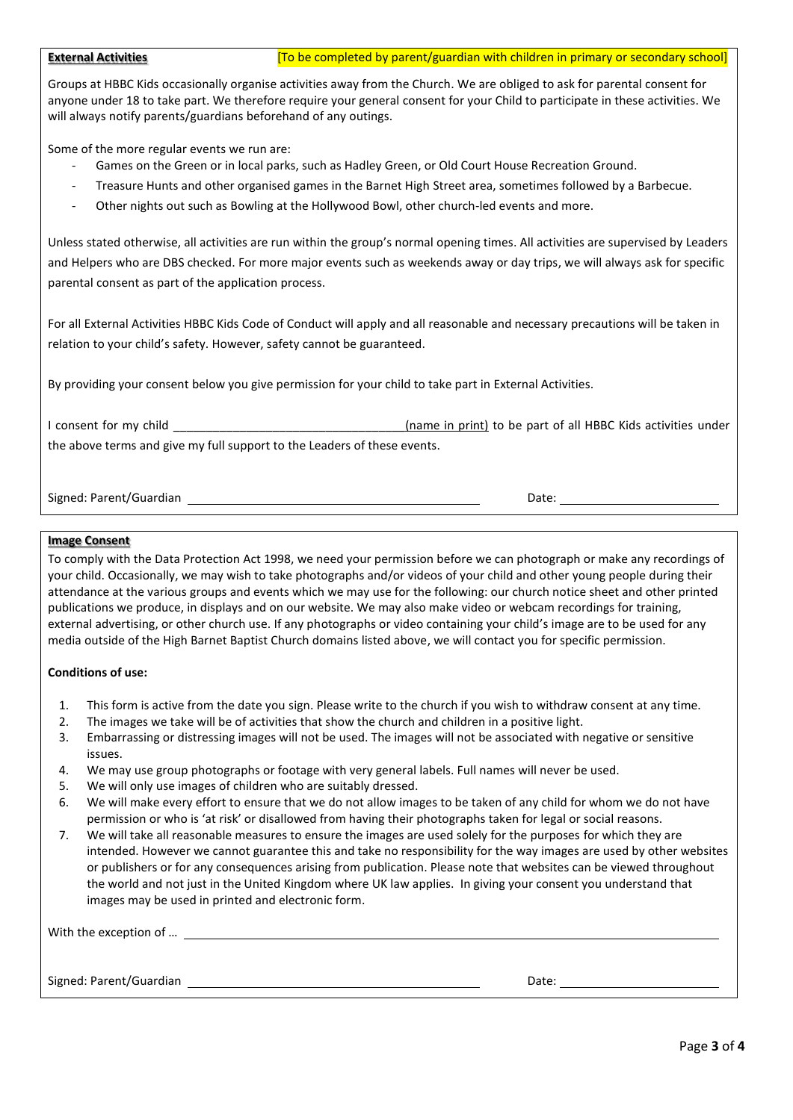Groups at HBBC Kids occasionally organise activities away from the Church. We are obliged to ask for parental consent for anyone under 18 to take part. We therefore require your general consent for your Child to participate in these activities. We will always notify parents/guardians beforehand of any outings.

Some of the more regular events we run are:

- Games on the Green or in local parks, such as Hadley Green, or Old Court House Recreation Ground.
- Treasure Hunts and other organised games in the Barnet High Street area, sometimes followed by a Barbecue.
- Other nights out such as Bowling at the Hollywood Bowl, other church-led events and more.

Unless stated otherwise, all activities are run within the group's normal opening times. All activities are supervised by Leaders and Helpers who are DBS checked. For more major events such as weekends away or day trips, we will always ask for specific parental consent as part of the application process.

For all External Activities HBBC Kids Code of Conduct will apply and all reasonable and necessary precautions will be taken in relation to your child's safety. However, safety cannot be guaranteed.

By providing your consent below you give permission for your child to take part in External Activities.

I consent for my child \_\_\_\_\_\_\_\_\_\_\_\_\_\_\_\_\_\_\_\_\_\_\_\_\_\_\_\_\_\_\_\_(name in print) to be part of all HBBC Kids activities under the above terms and give my full support to the Leaders of these events.

Signed: Parent/Guardian Date: Date: Date: Date: Date: Date: Date: Date: Date: Date: Date: Date: Date: Date: Date: Date: Date: Date: Date: Date: Date: Date: Date: Date: Date: Date: Date: Date: Date: Date: Date: Date: Date:

#### **Image Consent**

To comply with the Data Protection Act 1998, we need your permission before we can photograph or make any recordings of your child. Occasionally, we may wish to take photographs and/or videos of your child and other young people during their attendance at the various groups and events which we may use for the following: our church notice sheet and other printed publications we produce, in displays and on our website. We may also make video or webcam recordings for training, external advertising, or other church use. If any photographs or video containing your child's image are to be used for any media outside of the High Barnet Baptist Church domains listed above, we will contact you for specific permission.

### **Conditions of use:**

- 1. This form is active from the date you sign. Please write to the church if you wish to withdraw consent at any time.
- 2. The images we take will be of activities that show the church and children in a positive light.
- 3. Embarrassing or distressing images will not be used. The images will not be associated with negative or sensitive issues.
- 4. We may use group photographs or footage with very general labels. Full names will never be used.
- 5. We will only use images of children who are suitably dressed.
- 6. We will make every effort to ensure that we do not allow images to be taken of any child for whom we do not have permission or who is 'at risk' or disallowed from having their photographs taken for legal or social reasons.
- 7. We will take all reasonable measures to ensure the images are used solely for the purposes for which they are intended. However we cannot guarantee this and take no responsibility for the way images are used by other websites or publishers or for any consequences arising from publication. Please note that websites can be viewed throughout the world and not just in the United Kingdom where UK law applies. In giving your consent you understand that images may be used in printed and electronic form.

| With the exception of   |       |
|-------------------------|-------|
|                         |       |
| Signed: Parent/Guardian | Date: |